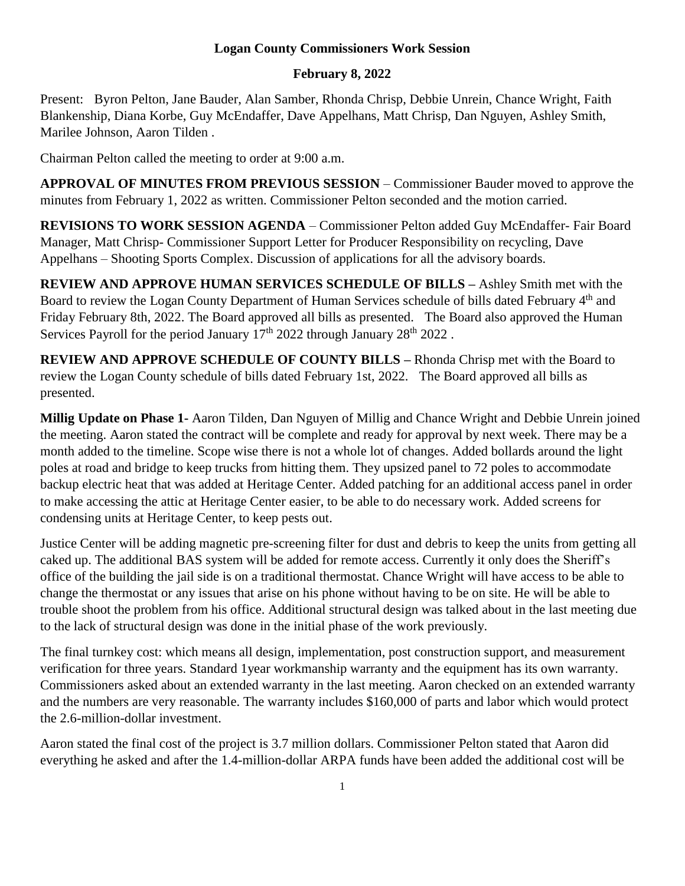## **Logan County Commissioners Work Session**

## **February 8, 2022**

Present: Byron Pelton, Jane Bauder, Alan Samber, Rhonda Chrisp, Debbie Unrein, Chance Wright, Faith Blankenship, Diana Korbe, Guy McEndaffer, Dave Appelhans, Matt Chrisp, Dan Nguyen, Ashley Smith, Marilee Johnson, Aaron Tilden .

Chairman Pelton called the meeting to order at 9:00 a.m.

**APPROVAL OF MINUTES FROM PREVIOUS SESSION** – Commissioner Bauder moved to approve the minutes from February 1, 2022 as written. Commissioner Pelton seconded and the motion carried.

**REVISIONS TO WORK SESSION AGENDA** – Commissioner Pelton added Guy McEndaffer- Fair Board Manager, Matt Chrisp- Commissioner Support Letter for Producer Responsibility on recycling, Dave Appelhans – Shooting Sports Complex. Discussion of applications for all the advisory boards.

**REVIEW AND APPROVE HUMAN SERVICES SCHEDULE OF BILLS –** Ashley Smith met with the Board to review the Logan County Department of Human Services schedule of bills dated February 4<sup>th</sup> and Friday February 8th, 2022. The Board approved all bills as presented. The Board also approved the Human Services Payroll for the period January  $17<sup>th</sup>$  2022 through January  $28<sup>th</sup>$  2022.

**REVIEW AND APPROVE SCHEDULE OF COUNTY BILLS –** Rhonda Chrisp met with the Board to review the Logan County schedule of bills dated February 1st, 2022. The Board approved all bills as presented.

**Millig Update on Phase 1-** Aaron Tilden, Dan Nguyen of Millig and Chance Wright and Debbie Unrein joined the meeting. Aaron stated the contract will be complete and ready for approval by next week. There may be a month added to the timeline. Scope wise there is not a whole lot of changes. Added bollards around the light poles at road and bridge to keep trucks from hitting them. They upsized panel to 72 poles to accommodate backup electric heat that was added at Heritage Center. Added patching for an additional access panel in order to make accessing the attic at Heritage Center easier, to be able to do necessary work. Added screens for condensing units at Heritage Center, to keep pests out.

Justice Center will be adding magnetic pre-screening filter for dust and debris to keep the units from getting all caked up. The additional BAS system will be added for remote access. Currently it only does the Sheriff's office of the building the jail side is on a traditional thermostat. Chance Wright will have access to be able to change the thermostat or any issues that arise on his phone without having to be on site. He will be able to trouble shoot the problem from his office. Additional structural design was talked about in the last meeting due to the lack of structural design was done in the initial phase of the work previously.

The final turnkey cost: which means all design, implementation, post construction support, and measurement verification for three years. Standard 1year workmanship warranty and the equipment has its own warranty. Commissioners asked about an extended warranty in the last meeting. Aaron checked on an extended warranty and the numbers are very reasonable. The warranty includes \$160,000 of parts and labor which would protect the 2.6-million-dollar investment.

Aaron stated the final cost of the project is 3.7 million dollars. Commissioner Pelton stated that Aaron did everything he asked and after the 1.4-million-dollar ARPA funds have been added the additional cost will be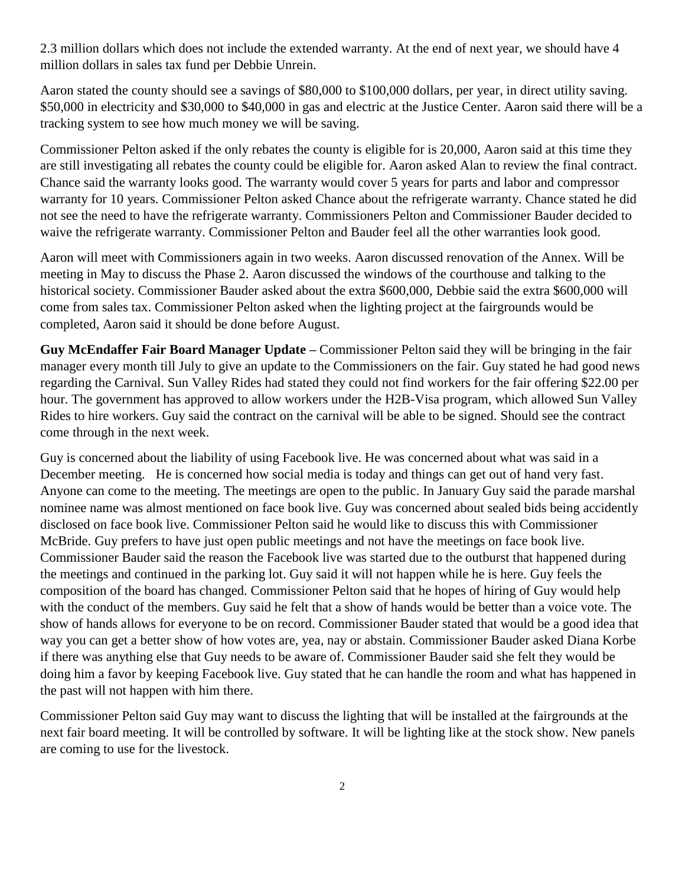2.3 million dollars which does not include the extended warranty. At the end of next year, we should have 4 million dollars in sales tax fund per Debbie Unrein.

Aaron stated the county should see a savings of \$80,000 to \$100,000 dollars, per year, in direct utility saving. \$50,000 in electricity and \$30,000 to \$40,000 in gas and electric at the Justice Center. Aaron said there will be a tracking system to see how much money we will be saving.

Commissioner Pelton asked if the only rebates the county is eligible for is 20,000, Aaron said at this time they are still investigating all rebates the county could be eligible for. Aaron asked Alan to review the final contract. Chance said the warranty looks good. The warranty would cover 5 years for parts and labor and compressor warranty for 10 years. Commissioner Pelton asked Chance about the refrigerate warranty. Chance stated he did not see the need to have the refrigerate warranty. Commissioners Pelton and Commissioner Bauder decided to waive the refrigerate warranty. Commissioner Pelton and Bauder feel all the other warranties look good.

Aaron will meet with Commissioners again in two weeks. Aaron discussed renovation of the Annex. Will be meeting in May to discuss the Phase 2. Aaron discussed the windows of the courthouse and talking to the historical society. Commissioner Bauder asked about the extra \$600,000, Debbie said the extra \$600,000 will come from sales tax. Commissioner Pelton asked when the lighting project at the fairgrounds would be completed, Aaron said it should be done before August.

**Guy McEndaffer Fair Board Manager Update –** Commissioner Pelton said they will be bringing in the fair manager every month till July to give an update to the Commissioners on the fair. Guy stated he had good news regarding the Carnival. Sun Valley Rides had stated they could not find workers for the fair offering \$22.00 per hour. The government has approved to allow workers under the H2B-Visa program, which allowed Sun Valley Rides to hire workers. Guy said the contract on the carnival will be able to be signed. Should see the contract come through in the next week.

Guy is concerned about the liability of using Facebook live. He was concerned about what was said in a December meeting. He is concerned how social media is today and things can get out of hand very fast. Anyone can come to the meeting. The meetings are open to the public. In January Guy said the parade marshal nominee name was almost mentioned on face book live. Guy was concerned about sealed bids being accidently disclosed on face book live. Commissioner Pelton said he would like to discuss this with Commissioner McBride. Guy prefers to have just open public meetings and not have the meetings on face book live. Commissioner Bauder said the reason the Facebook live was started due to the outburst that happened during the meetings and continued in the parking lot. Guy said it will not happen while he is here. Guy feels the composition of the board has changed. Commissioner Pelton said that he hopes of hiring of Guy would help with the conduct of the members. Guy said he felt that a show of hands would be better than a voice vote. The show of hands allows for everyone to be on record. Commissioner Bauder stated that would be a good idea that way you can get a better show of how votes are, yea, nay or abstain. Commissioner Bauder asked Diana Korbe if there was anything else that Guy needs to be aware of. Commissioner Bauder said she felt they would be doing him a favor by keeping Facebook live. Guy stated that he can handle the room and what has happened in the past will not happen with him there.

Commissioner Pelton said Guy may want to discuss the lighting that will be installed at the fairgrounds at the next fair board meeting. It will be controlled by software. It will be lighting like at the stock show. New panels are coming to use for the livestock.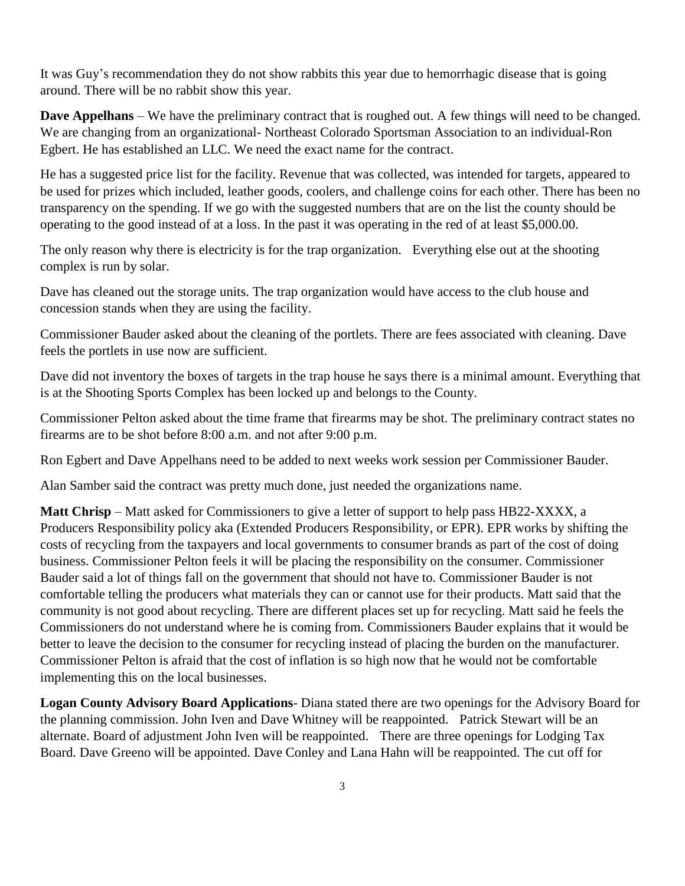It was Guy's recommendation they do not show rabbits this year due to hemorrhagic disease that is going around. There will be no rabbit show this year.

**Dave Appelhans** – We have the preliminary contract that is roughed out. A few things will need to be changed. We are changing from an organizational- Northeast Colorado Sportsman Association to an individual-Ron Egbert. He has established an LLC. We need the exact name for the contract.

He has a suggested price list for the facility. Revenue that was collected, was intended for targets, appeared to be used for prizes which included, leather goods, coolers, and challenge coins for each other. There has been no transparency on the spending. If we go with the suggested numbers that are on the list the county should be operating to the good instead of at a loss. In the past it was operating in the red of at least \$5,000.00.

The only reason why there is electricity is for the trap organization. Everything else out at the shooting complex is run by solar.

Dave has cleaned out the storage units. The trap organization would have access to the club house and concession stands when they are using the facility.

Commissioner Bauder asked about the cleaning of the portlets. There are fees associated with cleaning. Dave feels the portlets in use now are sufficient.

Dave did not inventory the boxes of targets in the trap house he says there is a minimal amount. Everything that is at the Shooting Sports Complex has been locked up and belongs to the County.

Commissioner Pelton asked about the time frame that firearms may be shot. The preliminary contract states no firearms are to be shot before 8:00 a.m. and not after 9:00 p.m.

Ron Egbert and Dave Appelhans need to be added to next weeks work session per Commissioner Bauder.

Alan Samber said the contract was pretty much done, just needed the organizations name.

**Matt Chrisp** – Matt asked for Commissioners to give a letter of support to help pass HB22-XXXX, a Producers Responsibility policy aka (Extended Producers Responsibility, or EPR). EPR works by shifting the costs of recycling from the taxpayers and local governments to consumer brands as part of the cost of doing business. Commissioner Pelton feels it will be placing the responsibility on the consumer. Commissioner Bauder said a lot of things fall on the government that should not have to. Commissioner Bauder is not comfortable telling the producers what materials they can or cannot use for their products. Matt said that the community is not good about recycling. There are different places set up for recycling. Matt said he feels the Commissioners do not understand where he is coming from. Commissioners Bauder explains that it would be better to leave the decision to the consumer for recycling instead of placing the burden on the manufacturer. Commissioner Pelton is afraid that the cost of inflation is so high now that he would not be comfortable implementing this on the local businesses.

**Logan County Advisory Board Applications**- Diana stated there are two openings for the Advisory Board for the planning commission. John Iven and Dave Whitney will be reappointed. Patrick Stewart will be an alternate. Board of adjustment John Iven will be reappointed. There are three openings for Lodging Tax Board. Dave Greeno will be appointed. Dave Conley and Lana Hahn will be reappointed. The cut off for